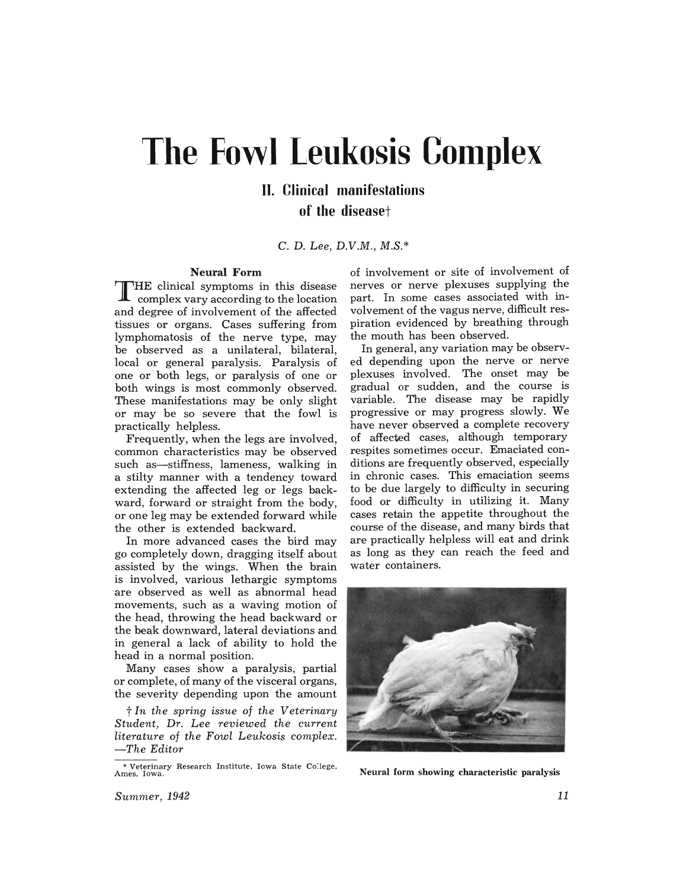# **The Fowl Leukosis Complex**

# **II. Clinical manifestations of the diseaset**

C. D. *Lee, D.V.M., M.S.\** 

**Neural Form<br>
THE clinical symptoms in this disease**<br>
complex vary according to the location and degree of involvement of the affected tissues or organs. Cases suffering from lymphomatosis of the nerve type, may be observed as a unilateral, bilateral, local or general paralysis. Paralysis of one or' both legs, or paralysis of one or both wings is most commonly observed. These manifestations may be only slight or may be so severe that the fowl is practically helpless.

Frequently, when the legs are involved. common characteristics may be observed such as—stiffness, lameness, walking in a stilty manner with a tendency toward extending the affected leg or legs backward, forward or straight from the body, or one leg may be extended forward while the other is extended backward.

In more advanced cases the bird may go completely down, dragging itself about assisted by the wings. When the brain is involved, various lethargic symptoms are observed as well as abnormal head movements, such as a waving motion of the head, throwing the head backward or the beak downward, lateral deviations and in general a lack of ability to hold the head in a normal position.

Many cases show a paralysis, partial or complete, of many of the visceral organs, the severity depending upon the amount

t *In the spring issue of the Veterinary Student, Dr. Lee reviewed the current literature of the Fowl Leukosis complex. -The Editor* 

of involvement or site of involvement of nerves or nerve plexuses supplying the part. In some cases associated with involvement of the vagus nerve, difficult respiration evidenced by breathing through the mouth has been observed.

In general, any variation may be observed depending upon the nerve or nerve plexuses involved. The onset may be gradual or sudden, and the course is variable. The disease may be rapidly progressive or may progress slowly. We have never observed a complete recovery of affected cases, although temporary respites sometimes occur. Emaciated conditions are frequently observed, especially in chronic cases. This emaciation seems to be due largely to difficulty in securing food or difficulty in utilizing it. Many cases retain the appetite throughout the course of the disease, and many birds that are practically helpless will eat and drink as long as they can reach the feed and water containers.



Neural form showing characteristic paralysis

*Summer, 1942* 

<sup>•</sup> Veterinary Research Institute, Iowa State Co:lege, Ames, Iowa.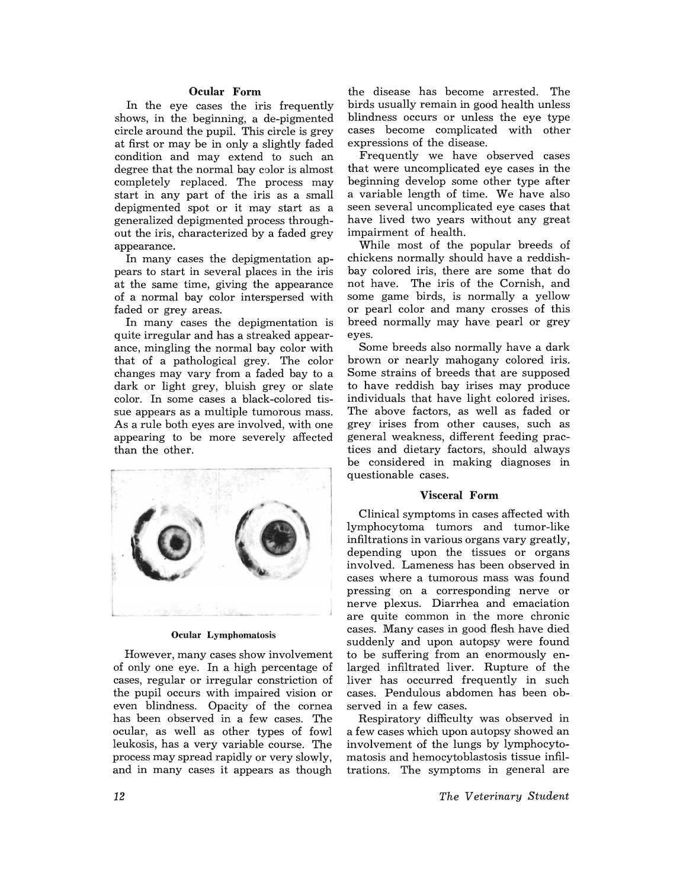# **Ocular Form**

In the eye cases the iris frequently shows, in the beginning, a de-pigmented circle around the pupiL This circle is grey at first or may be in only a slightly faded condition and may extend to such an degree that the normal bay color is almost completely replaced. The process may start in any part of the iris as a small depigmented spot or it may start as a generalized depigmented process throughout the iris, characterized by a faded grey appearance.

In many cases the depigmentation appears to start in several places in the iris at the same time, giving the appearance of a normal bay color interspersed with faded or grey areas.

In many cases the depigmentation is quite irregular and has a streaked appearance, mingling the normal bay color with that of a pathological grey. The color changes may vary from a faded bay to a dark or light grey, bluish grey or slate color. In some cases a black-colored tissue appears as a multiple tumorous mass. As a rule both eyes are involved, with one appearing to be more severely affected than the other.



### Ocular Lymphomatosis

However, many cases show involvement of only one eye. In a high percentage of cases, regular or irregular constriction of the pupil occurs with impaired vision or even blindness. Opacity of the cornea has been observed in a few cases. The ocular, as well as other types of fowl leukosis, has a very variable course. The process may spread rapidly or very slowly, and in many cases it appears as though

the disease has become arrested. The birds usually remain in good health unless blindness occurs or unless the eye type cases become complicated with other expressions of the disease.

Frequently we have observed cases that were uncomplicated eye cases in the beginning develop some other type after a variable length of time. We have also seen several uncomplicated eye cases that have lived two years without any great impairment of health.

While most of the popular breeds of chickens normally should have a reddishbay colored iris, there are some that do not have. The iris of the Cornish, and some game birds, is normally a yellow or pearl color and many crosses of this breed normally may have pearl or grey eyes.

Some breeds also normally have a dark brown or nearly mahogany colored iris. Some strains of breeds that are supposed to have reddish bay irises may produce individuals that have light colored irises. The above factors, as well as faded or grey irises from other causes, such as general weakness, different feeding practices and dietary factors, should always be considered in making diagnoses in questionable cases.

## Visceral **Form**

Clinical symptoms in cases affected with lymphocytoma tumors and tumor-like infiltrations in various organs vary greatly, depending upon the tissues or organs involved. Lameness has been observed in cases where a tumorous mass was found pressing on a corresponding nerve or nerve plexus. Diarrhea and emaciation are quite common in the more chronic cases. Many cases in good flesh have died suddenly and upon autopsy were found to be suffering from an enormously enlarged infiltrated liver. Rupture of the liver has occurred frequently in such cases. Pendulous abdomen has been observed in a few cases.

Respiratory difficulty was observed in a few cases which upon autopsy showed an involvement of the lungs by lymphocytomatosis and hemocytoblastosis tissue infiltrations. The symptoms in general are

*The Veterinary Student*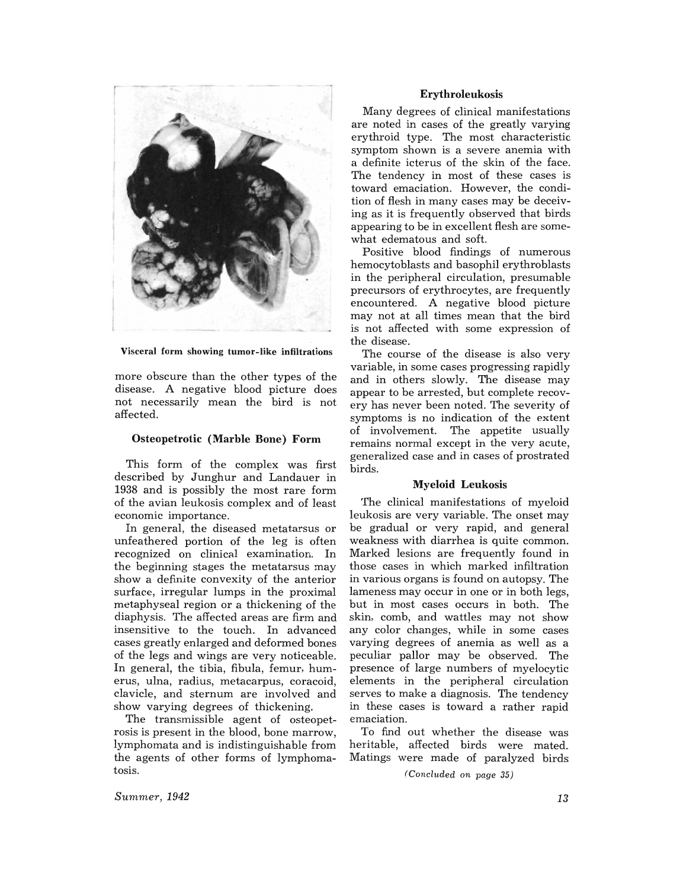

Visceral form showing tumor-like infiltrations

more obscure than the other types of the disease. A negative blood picture does not necessarily mean the bird is not affected.

## Osteopetrotic (Marble Bone) Form

This form of the complex was first described by Junghur and Landauer in 1938 and is possibly the most rare form of the avian leukosis complex and of least economic importance.

In general, the diseased metatarsus or unfeathered portion of the leg is often recognized on clinical examination. In the beginning stages the metatarsus may show a definite convexity of the anterior surface, irregular lumps in the proximal metaphyseal region or a thickening of the diaphysis. The affected areas are firm and insensitive to the touch. In advanced cases greatly enlarged and deformed bones of the legs and wings are very noticeable. In general, the tibia, fibula, femur, humerus, ulna, radius, metacarpus, coracoid, clavicle, and sternum are involved and show varying degrees of thickening.

The transmissible agent of osteopetrosis is present in the blood, bone marrow, lymphomata and is indistinguishable from the agents of other forms of lymphomatosis.

# Erythroleukosis

Many degrees of clinical manifestations are noted in cases of the greatly varying erythroid type. The most characteristic symptom shown is a severe anemia with a definite icterus of the skin of the face. The tendency in most of these cases is toward emaciation. However, the condition of flesh in many cases may be deceiving as it is frequently observed that birds appearing to be in excellent flesh are somewhat edematous and soft.

Positive blood findings of numerous hemocytoblasts and basophil erythroblasts in the peripheral circulation, presumable precursors of erythrocytes, are frequently encountered. A negative blood picture may not at all times mean that the bird is not affected with some expression of the disease.

The course of the disease is also very variable, in some cases progressing rapidly and in others slowly. The disease may appear to be arrested, but complete recovery has never been noted. The severity of symptoms is no indication of the extent of involvement. The appetite usually remains normal except in the very acute, generalized case and in cases of prostrated birds.

# Myeloid Leukosis

The clinical manifestations of myeloid leukosis are very variable. The onset may be gradual or very rapid, and general weakness with diarrhea is quite common. Marked lesions are frequently found in those cases in which marked infiltration in various organs is found on autopsy. The lameness may occur in one or in both legs, but in most cases occurs in both. The skin, comb, and wattles may not show any color changes, while in some cases varying degrees of anemia as well as a peculiar pallor may be observed. The presence of large numbers of myelocytic elements in the peripheral circulation serves to make a diagnosis. The tendency in these cases is toward a rather rapid emaciation.

To find out whether the disease was heritable, affected birds were mated. Matings were made of paralyzed birds

*(Concluded on page 35)* 

*Summer, 1942*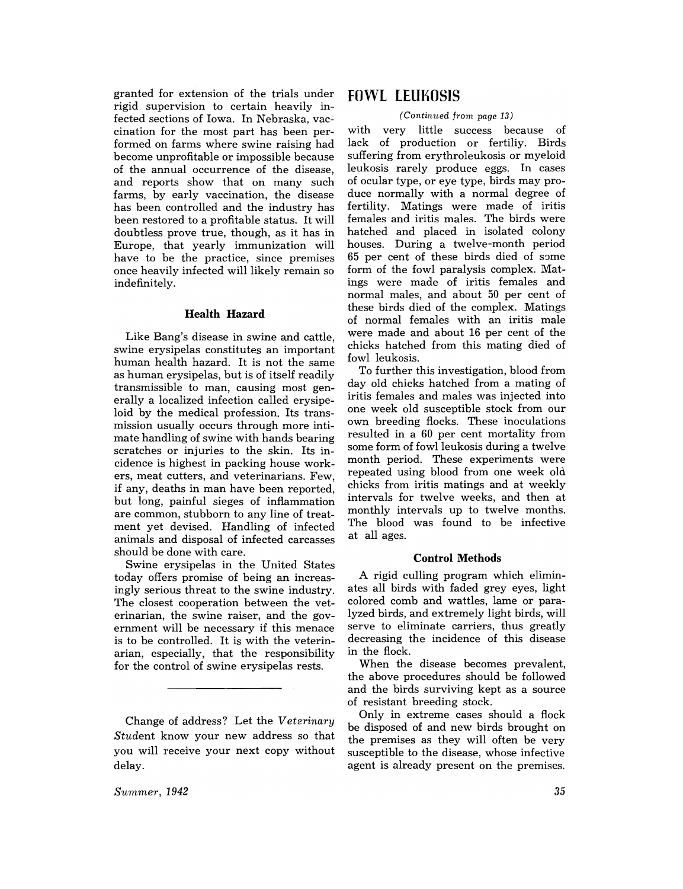granted for extension of the trials under rigid supervision to certain heavily infected sections of Iowa. In Nebraska, vaccination for the most part has been performed on farms where swine raising had become unprofitable or impossible because of the annual occurrence of the disease, and reports show that on many such farms, by early vaccination, the disease has been controlled and the industry has been restored to a profitable status. It will doubtless prove true, though, as it has in Europe, that yearly immunization will have to be the practice, since premises once heavily infected will likely remain so indefinitely.

# **Health Hazard**

Like Bang's disease in swine and cattle, swine erysipelas constitutes an important human health hazard. It is not the same as human erysipelas, but is of itself readily transmissible to man, causing most generally a localized infection called erysipeloid by the medical profession. Its transmission usually occurs through more intimate handling of swine with hands bearing scratches or injuries to the skin. Its incidence is highest in packing house workers, meat cutters, and veterinarians. Few, if any, deaths in man have been reported, but long, painful sieges of inflammation are common, stubborn to any line of treatment yet devised. Handling of infected animals and disposal of infected carcasses should be done with care.

Swine erysipelas in the United States today offers promise of being an increasingly serious threat to the swine industry. The closest cooperation between the veterinarian, the swine raiser, and the government will be necessary if this menace is to be controlled. It is with the veterinarian, especially, that the responsibility for the control of swine erysipelas rests.

Change of address? Let the *Veterinary Student* know your new address so that you will receive your next copy without delay.

# **FOWL LEUROSIS**

# *(Continued from page 13)*

with very little success because of lack of production or fertiliy. Birds suffering from erythroleukosis or myeloid leukosis rarely produce eggs. In cases of ocular type, or eye type, birds may produce normally with a normal degree of fertility. Matings were made of iritis females and iritis males. The birds were hatched and placed in isolated colony houses. During a twelve-month period  $65$  per cent of these birds died of some form of the fowl paralysis complex. Matings were made of iritis females and normal males, and about 50 per cent of these birds died of the complex. Matings of normal females with an iritis male were made and about 16 per cent of the chicks hatched from this mating died of fowl leukosis.

To further this investigation, blood from day old chicks hatched from a mating of iritis females and males was injected into one week old susceptible stock from our own breeding flocks. These inoculations resulted in a 60 per cent mortality from some form of fowl leukosis during a twelve month period. These experiments were repeated using blood from one week old. chicks from iritis matings and at weekly intervals for twelve weeks, and then at monthly intervals up to twelve months. The blood was found to be infective at all ages.

# **Control Methods**

A rigid culling program which eliminates all birds with faded grey eyes, light colored comb and wattles, lame or paralyzed birds, and extremely light birds, will serve to eliminate carriers, thus greatly decreasing the incidence of this disease in the flock.

When the disease becomes prevalent, the above procedures should be followed and the birds surviving kept as a source of resistant breeding stock.

Only in extreme cases should a flock be disposed of and new birds brought on the premises as they will often be very susceptible to the disease, whose infective agent is already present on the premises.

*Summer, 1942*